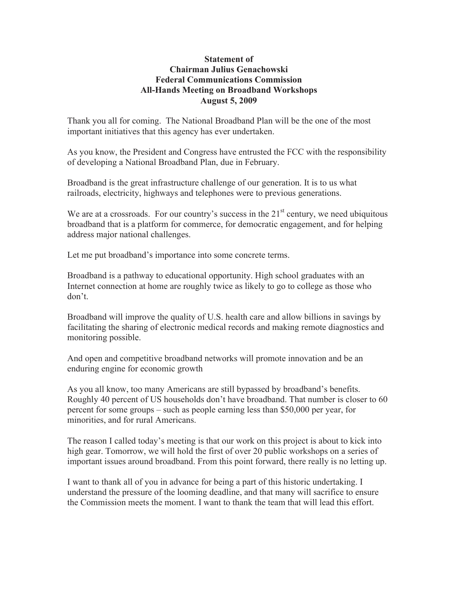## **Statement of Chairman Julius Genachowski Federal Communications Commission All-Hands Meeting on Broadband Workshops August 5, 2009**

Thank you all for coming. The National Broadband Plan will be the one of the most important initiatives that this agency has ever undertaken.

As you know, the President and Congress have entrusted the FCC with the responsibility of developing a National Broadband Plan, due in February.

Broadband is the great infrastructure challenge of our generation. It is to us what railroads, electricity, highways and telephones were to previous generations.

We are at a crossroads. For our country's success in the  $21<sup>st</sup>$  century, we need ubiquitous broadband that is a platform for commerce, for democratic engagement, and for helping address major national challenges.

Let me put broadband's importance into some concrete terms.

Broadband is a pathway to educational opportunity. High school graduates with an Internet connection at home are roughly twice as likely to go to college as those who don't.

Broadband will improve the quality of U.S. health care and allow billions in savings by facilitating the sharing of electronic medical records and making remote diagnostics and monitoring possible.

And open and competitive broadband networks will promote innovation and be an enduring engine for economic growth

As you all know, too many Americans are still bypassed by broadband's benefits. Roughly 40 percent of US households don't have broadband. That number is closer to 60 percent for some groups – such as people earning less than \$50,000 per year, for minorities, and for rural Americans.

The reason I called today's meeting is that our work on this project is about to kick into high gear. Tomorrow, we will hold the first of over 20 public workshops on a series of important issues around broadband. From this point forward, there really is no letting up.

I want to thank all of you in advance for being a part of this historic undertaking. I understand the pressure of the looming deadline, and that many will sacrifice to ensure the Commission meets the moment. I want to thank the team that will lead this effort.